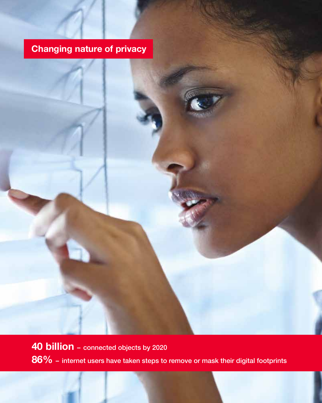# **Changing nature of privacy**

**40 billion** – connected objects by 2020 **86%** – internet users have taken steps to remove or mask their digital footprints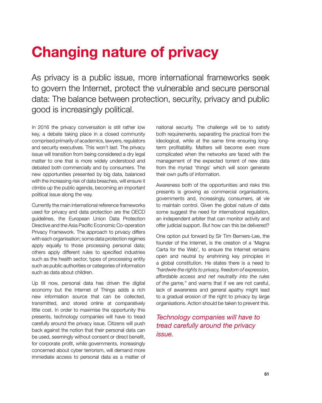# **Changing nature of privacy**

As privacy is a public issue, more international frameworks seek to govern the Internet, protect the vulnerable and secure personal data: The balance between protection, security, privacy and public good is increasingly political.

In 2016 the privacy conversation is still rather low key, a debate taking place in a closed community comprised primarily of academics, lawyers, regulators and security executives. This won't last. The privacy issue will transition from being considered a dry legal matter to one that is more widely understood and debated both commercially and by consumers. The new opportunities presented by big data, balanced with the increasing risk of data breaches, will ensure it climbs up the public agenda, becoming an important political issue along the way.

Currently the main international reference frameworks used for privacy and data protection are the OECD guidelines, the European Union Data Protection Directive and the Asia Pacific Economic Co-operation Privacy Framework. The approach to privacy differs with each organisation; some data protection regimes apply equally to those processing personal data; others apply different rules to specified industries such as the health sector, types of processing entity such as public authorities or categories of information such as data about children.

Up till now, personal data has driven the digital economy but the Internet of Things adds a rich new information source that can be collected, transmitted, and stored online at comparatively little cost. In order to maximise the opportunity this presents, technology companies will have to tread carefully around the privacy issue. Citizens will push back against the notion that their personal data can be used, seemingly without consent or direct benefit, for corporate profit, while governments, increasingly concerned about cyber terrorism, will demand more immediate access to personal data as a matter of national security. The challenge will be to satisfy both requirements, separating the practical from the ideological, while at the same time ensuring longterm profitability. Matters will become even more complicated when the networks are faced with the management of the expected torrent of new data from the myriad 'things' which will soon generate their own puffs of information.

Awareness both of the opportunities and risks this presents is growing as commercial organisations, governments and, increasingly, consumers, all vie to maintain control. Given the global nature of data some suggest the need for international regulation, an independent arbiter that can monitor activity and offer judicial support. But how can this be delivered?

One option put forward by Sir Tim Berners-Lee, the founder of the Internet, is the creation of a 'Magna Carta for the Web', to ensure the Internet remains open and neutral by enshrining key principles in a global constitution. He states there is a need to *"hardwire the rights to privacy, freedom of expression, affordable access and net neutrality into the rules of the game,"* and warns that if we are not careful, lack of awareness and general apathy might lead to a gradual erosion of the right to privacy by large organisations. Action should be taken to prevent this.

# *Technology companies will have to tread carefully around the privacy issue.*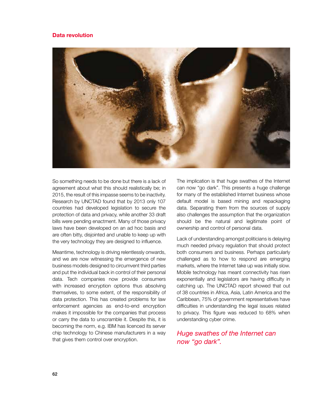### **Data revolution**



So something needs to be done but there is a lack of agreement about what this should realistically be; in 2015, the result of this impasse seems to be inactivity. Research by UNCTAD found that by 2013 only 107 countries had developed legislation to secure the protection of data and privacy, while another 33 draft bills were pending enactment. Many of those privacy laws have been developed on an ad hoc basis and are often bitty, disjointed and unable to keep up with the very technology they are designed to influence.

Meantime, technology is driving relentlessly onwards, and we are now witnessing the emergence of new business models designed to circumvent third parties and put the individual back in control of their personal data. Tech companies now provide consumers with increased encryption options thus absolving themselves, to some extent, of the responsibility of data protection. This has created problems for law enforcement agencies as end-to-end encryption makes it impossible for the companies that process or carry the data to unscramble it. Despite this, it is becoming the norm, e.g. IBM has licenced its server chip technology to Chinese manufacturers in a way that gives them control over encryption.

The implication is that huge swathes of the Internet can now "go dark". This presents a huge challenge for many of the established Internet business whose default model is based mining and repackaging data. Separating them from the sources of supply also challenges the assumption that the organization should be the natural and legitimate point of ownership and control of personal data.

Lack of understanding amongst politicians is delaying much needed privacy regulation that should protect both consumers and business. Perhaps particularly challenged as to how to respond are emerging markets, where the Internet take up was initially slow. Mobile technology has meant connectivity has risen exponentially and legislators are having difficulty in catching up. The UNCTAD report showed that out of 38 countries in Africa, Asia, Latin America and the Caribbean, 75% of government representatives have difficulties in understanding the legal issues related to privacy. This figure was reduced to 68% when understanding cyber crime.

# *Huge swathes of the Internet can now "go dark".*